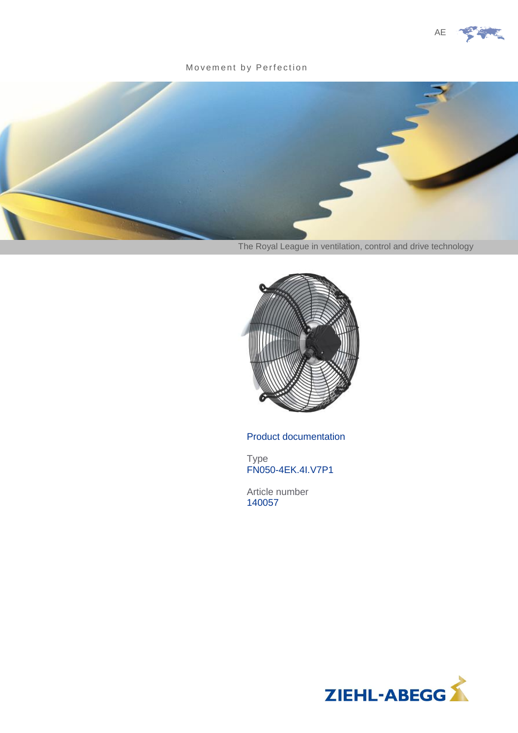

### Movement by Perfection



The Royal League in ventilation, control and drive technology



Product documentation

Type FN050-4EK.4I.V7P1

Article number 140057

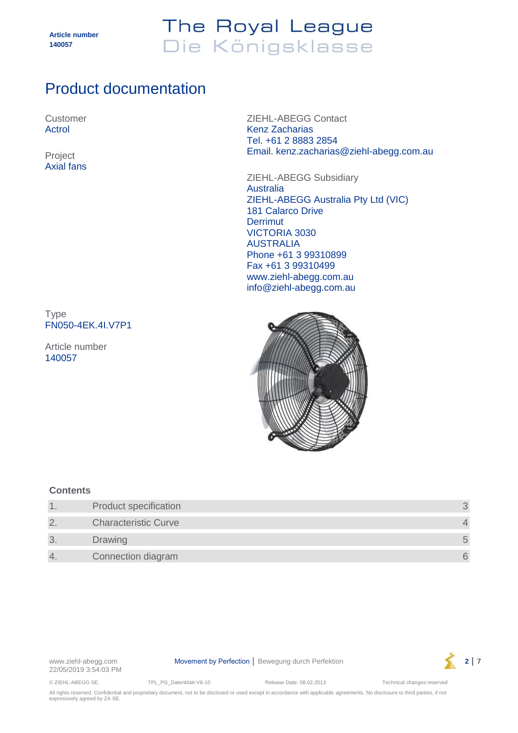# The Royal League Die Königsklasse

## Product documentation

Customer Actrol

Axial fans

ZIEHL-ABEGG Contact Kenz Zacharias Tel. +61 2 8883 2854 Email. kenz.zacharias@ziehl-abegg.com.au Project

> ZIEHL-ABEGG Subsidiary Australia ZIEHL-ABEGG Australia Pty Ltd (VIC) 181 Calarco Drive **Derrimut** VICTORIA 3030 AUSTRALIA Phone +61 3 99310899 Fax +61 3 99310499 www.ziehl-abegg.com.au info@ziehl-abegg.com.au

Type FN050-4EK.4I.V7P1

Article number 140057



### **Contents**

|                | <b>Product specification</b> |            |
|----------------|------------------------------|------------|
| $\overline{2}$ | <b>Characteristic Curve</b>  |            |
| 3              | <b>Drawing</b>               | $\sqrt{2}$ |
| 4.             | Connection diagram           |            |

22/05/2019 3:54:03 PM

www.ziehl-abegg.com **Movement by Perfection │ Bewegung durch Perfektion 2** │ 7



© ZIEHL-ABEGG SE TPL\_PG\_Datenblatt-V6-10 Release Date: 08.02.2013 Technical changes reserved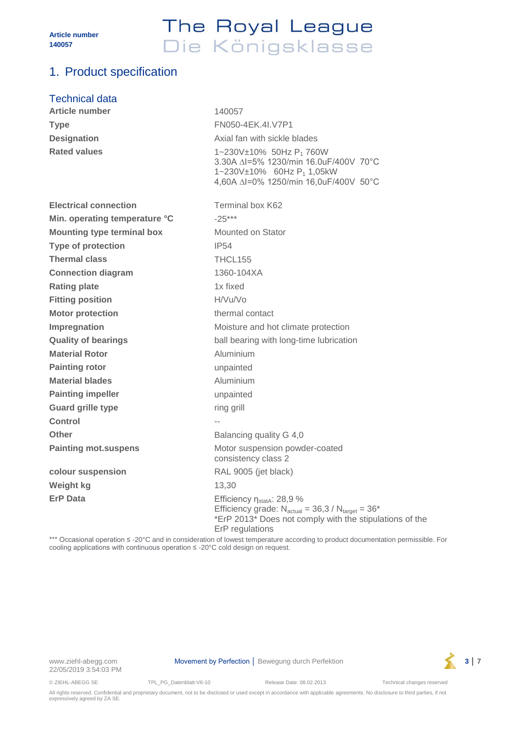# The Royal League Die Königsklasse

## <span id="page-2-0"></span>1. Product specification

### Technical data

| <b>Article number</b>             | 140057                                                                                                                                                                           |
|-----------------------------------|----------------------------------------------------------------------------------------------------------------------------------------------------------------------------------|
| <b>Type</b>                       | FN050-4EK.4I.V7P1                                                                                                                                                                |
| <b>Designation</b>                | Axial fan with sickle blades                                                                                                                                                     |
| <b>Rated values</b>               | 1~230V±10% 50Hz P <sub>1</sub> 760W<br>3.30A $\triangle$ I=5% 1230/min 16.0uF/400V 70°C<br>1~230V±10% 60Hz P <sub>1</sub> 1,05kW<br>4,60A ∆I=0% 1250/min 16,0uF/400V 50°C        |
| <b>Electrical connection</b>      | Terminal box K62                                                                                                                                                                 |
| Min. operating temperature °C     | $-25***$                                                                                                                                                                         |
| <b>Mounting type terminal box</b> | Mounted on Stator                                                                                                                                                                |
| <b>Type of protection</b>         | <b>IP54</b>                                                                                                                                                                      |
| <b>Thermal class</b>              | THCL155                                                                                                                                                                          |
| <b>Connection diagram</b>         | 1360-104XA                                                                                                                                                                       |
| <b>Rating plate</b>               | 1x fixed                                                                                                                                                                         |
| <b>Fitting position</b>           | H/Vu/Vo                                                                                                                                                                          |
| <b>Motor protection</b>           | thermal contact                                                                                                                                                                  |
| Impregnation                      | Moisture and hot climate protection                                                                                                                                              |
| <b>Quality of bearings</b>        | ball bearing with long-time lubrication                                                                                                                                          |
| <b>Material Rotor</b>             | Aluminium                                                                                                                                                                        |
| <b>Painting rotor</b>             | unpainted                                                                                                                                                                        |
| <b>Material blades</b>            | Aluminium                                                                                                                                                                        |
| <b>Painting impeller</b>          | unpainted                                                                                                                                                                        |
| <b>Guard grille type</b>          | ring grill                                                                                                                                                                       |
| Control                           |                                                                                                                                                                                  |
| <b>Other</b>                      | Balancing quality G 4,0                                                                                                                                                          |
| <b>Painting mot.suspens</b>       | Motor suspension powder-coated<br>consistency class 2                                                                                                                            |
| colour suspension                 | RAL 9005 (jet black)                                                                                                                                                             |
| Weight kg                         | 13,30                                                                                                                                                                            |
| <b>ErP Data</b>                   | Efficiency η <sub>statA</sub> : 28,9 %<br>Efficiency grade: $N_{actual} = 36,3 / N_{target} = 36*$<br>*ErP 2013* Does not comply with the stipulations of the<br>ErP regulations |

\*\*\* Occasional operation ≤ -20°C and in consideration of lowest temperature according to product documentation permissible. For cooling applications with continuous operation ≤ -20°C cold design on request.



© ZIEHL-ABEGG SE TPL\_PG\_Datenblatt-V6-10 Release Date: 08.02.2013 Technical changes reserved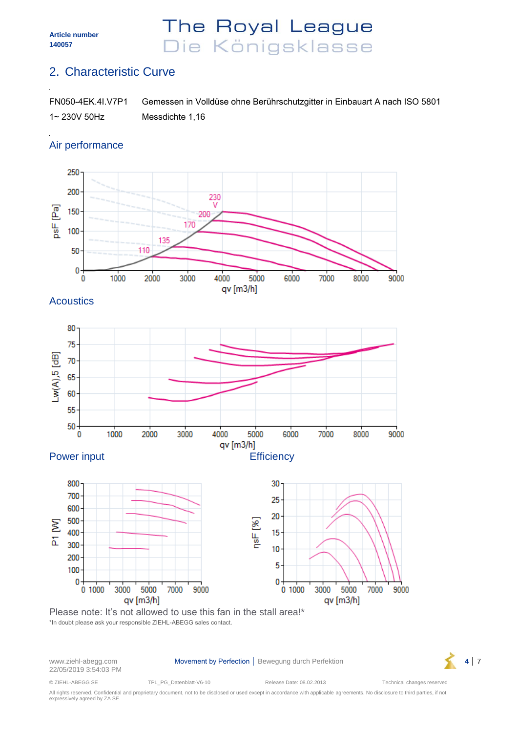## The Royal League Die Königsklasse

## <span id="page-3-0"></span>2. Characteristic Curve

| FN050-4EK.4I.V7P1 | Gemessen in Volldüse ohne Berührschutzgitter in Einbauart A nach ISO 5801 |
|-------------------|---------------------------------------------------------------------------|
| 1~ 230V 50Hz      | Messdichte 1,16                                                           |

### Air performance



**Acoustics** 







22/05/2019 3:54:03 PM

www.ziehl-abegg.com **Movement by Perfection** │ Bewegung durch Perfektion **4** │ 7



© ZIEHL-ABEGG SE TPL\_PG\_Datenblatt-V6-10 Release Date: 08.02.2013 Technical changes reserved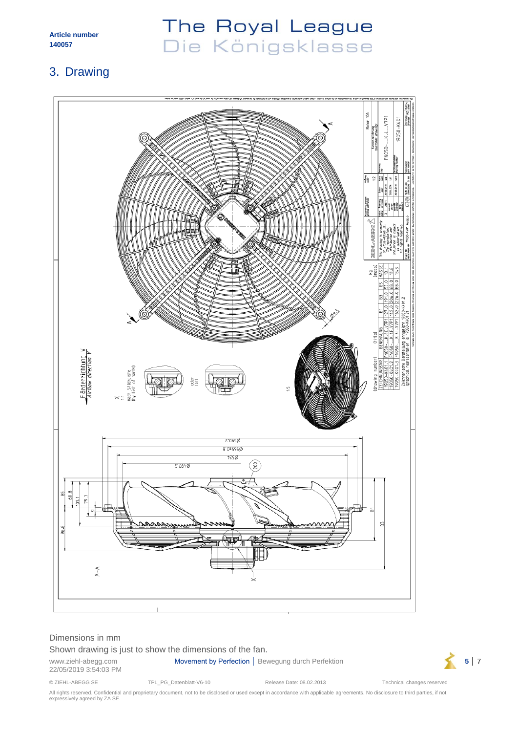# The Royal League Die Königsklasse

## <span id="page-4-0"></span>3. Drawing



### Dimensions in mm

#### Shown drawing is just to show the dimensions of the fan.

22/05/2019 3:54:03 PM

www.ziehl-abegg.com **Movement by Perfection** │ Bewegung durch Perfektion **5** │ 7



© ZIEHL-ABEGG SE TPL\_PG\_Datenblatt-V6-10 Release Date: 08.02.2013 Technical changes reserved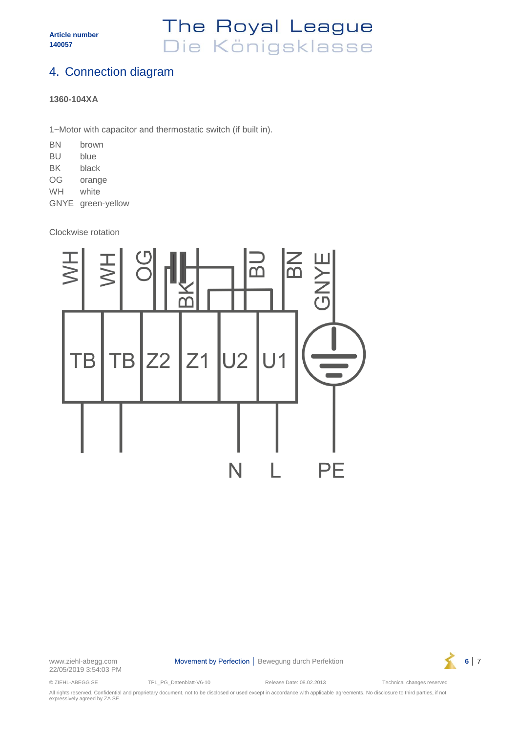## The Royal League Die Königsklasse

## <span id="page-5-0"></span>4. Connection diagram

### **1360-104XA**

1~Motor with capacitor and thermostatic switch (if built in).

| ΒN          | brown        |
|-------------|--------------|
| ВU          | blue         |
| BK          | black        |
| OG          | orange       |
| WH          | white        |
| <b>GNYE</b> | green-yellow |

Clockwise rotation



22/05/2019 3:54:03 PM

www.ziehl-abegg.com **Movement by Perfection │ Bewegung durch Perfektion 6** │ 7



© ZIEHL-ABEGG SE TPL\_PG\_Datenblatt-V6-10 Release Date: 08.02.2013 Technical changes reserved